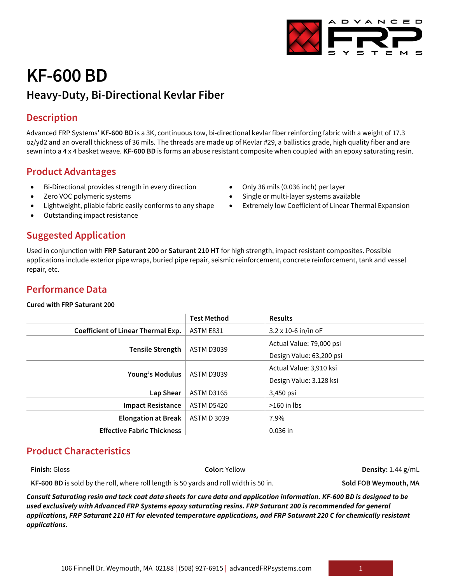# **KF-600 BD**

## **Heavy-Duty, Bi-Directional Kevlar Fiber**

## **Description**

Advanced FRP Systems' **KF-600 BD** is a 3K, continuous tow, bi-directional kevlar fiber reinforcing fabric with a weight of 17.3 oz/yd2 and an overall thickness of 36 mils. The threads are made up of Kevlar #29, a ballistics grade, high quality fiber and are sewn into a 4 x 4 basket weave. **KF-600 BD** is forms an abuse resistant composite when coupled with an epoxy saturating resin.

> • Only 36 mils (0.036 inch) per layer • Single or multi-layer systems available

Extremely low Coefficient of Linear Thermal Expansion

## **Product Advantages**

- Bi-Directional provides strength in every direction
- Zero VOC polymeric systems
- Lightweight, pliable fabric easily conforms to any shape
- Outstanding impact resistance

## **Suggested Application**

Used in conjunction with **FRP Saturant 200** or **Saturant 210 HT** for high strength, impact resistant composites. Possible applications include exterior pipe wraps, buried pipe repair, seismic reinforcement, concrete reinforcement, tank and vessel repair, etc.

## **Performance Data**

#### **Cured with FRP Saturant 200**

|                                    | <b>Test Method</b> | <b>Results</b>               |
|------------------------------------|--------------------|------------------------------|
| Coefficient of Linear Thermal Exp. | ASTM E831          | $3.2 \times 10 - 6$ in/in oF |
| <b>Tensile Strength</b>            | <b>ASTM D3039</b>  | Actual Value: 79,000 psi     |
|                                    |                    | Design Value: 63,200 psi     |
| Young's Modulus                    | <b>ASTM D3039</b>  | Actual Value: 3,910 ksi      |
|                                    |                    | Design Value: 3.128 ksi      |
| Lap Shear                          | <b>ASTM D3165</b>  | 3,450 psi                    |
| <b>Impact Resistance</b>           | <b>ASTM D5420</b>  | $>160$ in lbs                |
| <b>Elongation at Break</b>         | <b>ASTM D 3039</b> | 7.9%                         |
| <b>Effective Fabric Thickness</b>  |                    | $0.036$ in                   |

## **Product Characteristics**

**Finish:** Gloss **Color:** Yellow **Density:** 1.44 g/mL

**KF-600 BD** is sold by the roll, where roll length is 50 yards and roll width is 50 in. **Sold FOB Weymouth, MA**

*Consult Saturating resin and tack coat data sheets for cure data and application information. KF-600 BD is designed to be used exclusively with Advanced FRP Systems epoxy saturating resins. FRP Saturant 200 is recommended for general applications, FRP Saturant 210 HT for elevated temperature applications, and FRP Saturant 220 C for chemically resistant applications.*